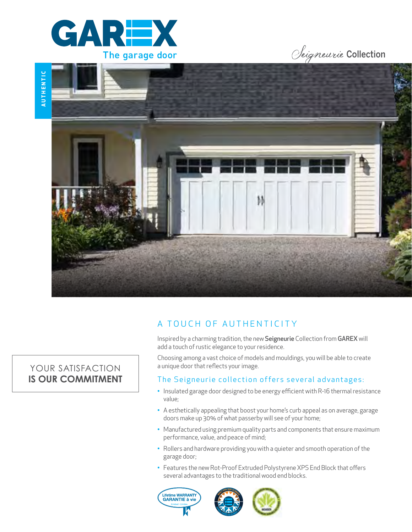

# Seigneurie Collection



# A TOUCH OF AUTHENTICITY

Inspired by a charming tradition, the new Seigneurie Collection from GAREX will add a touch of rustic elegance to your residence.

Choosing among a vast choice of models and mouldings, you will be able to create a unique door that reflects your image.

### The Seigneurie collection offers several advantages:

- Insulated garage door designed to be energy efficient with R-16 thermal resistance value;
- A esthetically appealing that boost your home's curb appeal as on average, garage doors make up 30% of what passerby will see of your home;
- Manufactured using premium quality parts and components that ensure maximum performance, value, and peace of mind;
- Rollers and hardware providing you with a quieter and smooth operation of the garage door;
- Features the new Rot-Proof Extruded Polystyrene XPS End Block that offers several advantages to the traditional wood end blocks.





## YOUR SATISFACTION **IS OUR COMMITMENT**